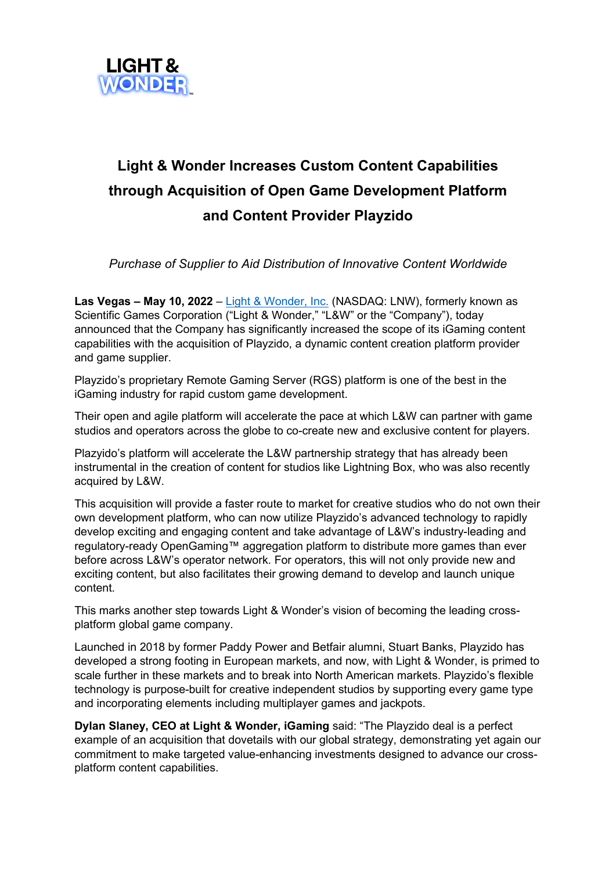

## **Light & Wonder Increases Custom Content Capabilities through Acquisition of Open Game Development Platform and Content Provider Playzido**

*Purchase of Supplier to Aid Distribution of Innovative Content Worldwide*

**Las Vegas – May 10, 2022** – [Light & Wonder, Inc.](https://www.lnw.com/) (NASDAQ: LNW), formerly known as Scientific Games Corporation ("Light & Wonder," "L&W" or the "Company"), today announced that the Company has significantly increased the scope of its iGaming content capabilities with the acquisition of Playzido, a dynamic content creation platform provider and game supplier.

Playzido's proprietary Remote Gaming Server (RGS) platform is one of the best in the iGaming industry for rapid custom game development.

Their open and agile platform will accelerate the pace at which L&W can partner with game studios and operators across the globe to co-create new and exclusive content for players.

Plazyido's platform will accelerate the L&W partnership strategy that has already been instrumental in the creation of content for studios like Lightning Box, who was also recently acquired by L&W.

This acquisition will provide a faster route to market for creative studios who do not own their own development platform, who can now utilize Playzido's advanced technology to rapidly develop exciting and engaging content and take advantage of L&W's industry-leading and regulatory-ready OpenGaming™ aggregation platform to distribute more games than ever before across L&W's operator network. For operators, this will not only provide new and exciting content, but also facilitates their growing demand to develop and launch unique content.

This marks another step towards Light & Wonder's vision of becoming the leading crossplatform global game company.

Launched in 2018 by former Paddy Power and Betfair alumni, Stuart Banks, Playzido has developed a strong footing in European markets, and now, with Light & Wonder, is primed to scale further in these markets and to break into North American markets. Playzido's flexible technology is purpose-built for creative independent studios by supporting every game type and incorporating elements including multiplayer games and jackpots.

**Dylan Slaney, CEO at Light & Wonder, iGaming** said: "The Playzido deal is a perfect example of an acquisition that dovetails with our global strategy, demonstrating yet again our commitment to make targeted value-enhancing investments designed to advance our crossplatform content capabilities.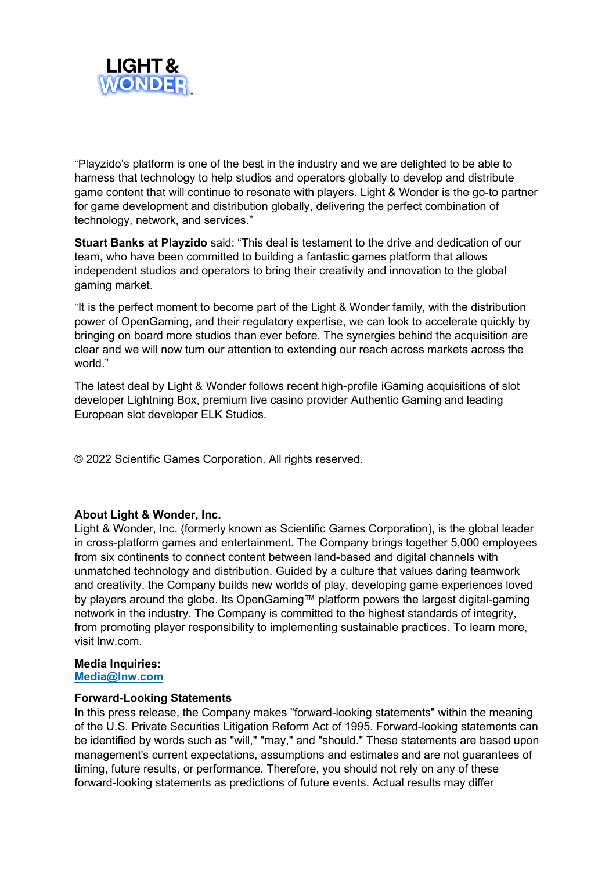

"Playzido's platform is one of the best in the industry and we are delighted to be able to harness that technology to help studios and operators globally to develop and distribute game content that will continue to resonate with players. Light & Wonder is the go-to partner for game development and distribution globally, delivering the perfect combination of technology, network, and services."

**Stuart Banks at Playzido** said: "This deal is testament to the drive and dedication of our team, who have been committed to building a fantastic games platform that allows independent studios and operators to bring their creativity and innovation to the global gaming market.

"It is the perfect moment to become part of the Light & Wonder family, with the distribution power of OpenGaming, and their regulatory expertise, we can look to accelerate quickly by bringing on board more studios than ever before. The synergies behind the acquisition are clear and we will now turn our attention to extending our reach across markets across the world."

The latest deal by Light & Wonder follows recent high-profile iGaming acquisitions of slot developer Lightning Box, premium live casino provider Authentic Gaming and leading European slot developer ELK Studios.

© 2022 Scientific Games Corporation. All rights reserved.

## **About Light & Wonder, Inc.**

Light & Wonder, Inc. (formerly known as Scientific Games Corporation), is the global leader in cross-platform games and entertainment. The Company brings together 5,000 employees from six continents to connect content between land-based and digital channels with unmatched technology and distribution. Guided by a culture that values daring teamwork and creativity, the Company builds new worlds of play, developing game experiences loved by players around the globe. Its OpenGaming™ platform powers the largest digital-gaming network in the industry. The Company is committed to the highest standards of integrity, from promoting player responsibility to implementing sustainable practices. To learn more, visit lnw.com.

## **Media Inquiries:**

**[Media@lnw.com](mailto:Media@lnw.com)**

## **Forward-Looking Statements**

In this press release, the Company makes "forward-looking statements" within the meaning of the U.S. Private Securities Litigation Reform Act of 1995. Forward-looking statements can be identified by words such as "will," "may," and "should." These statements are based upon management's current expectations, assumptions and estimates and are not guarantees of timing, future results, or performance. Therefore, you should not rely on any of these forward-looking statements as predictions of future events. Actual results may differ